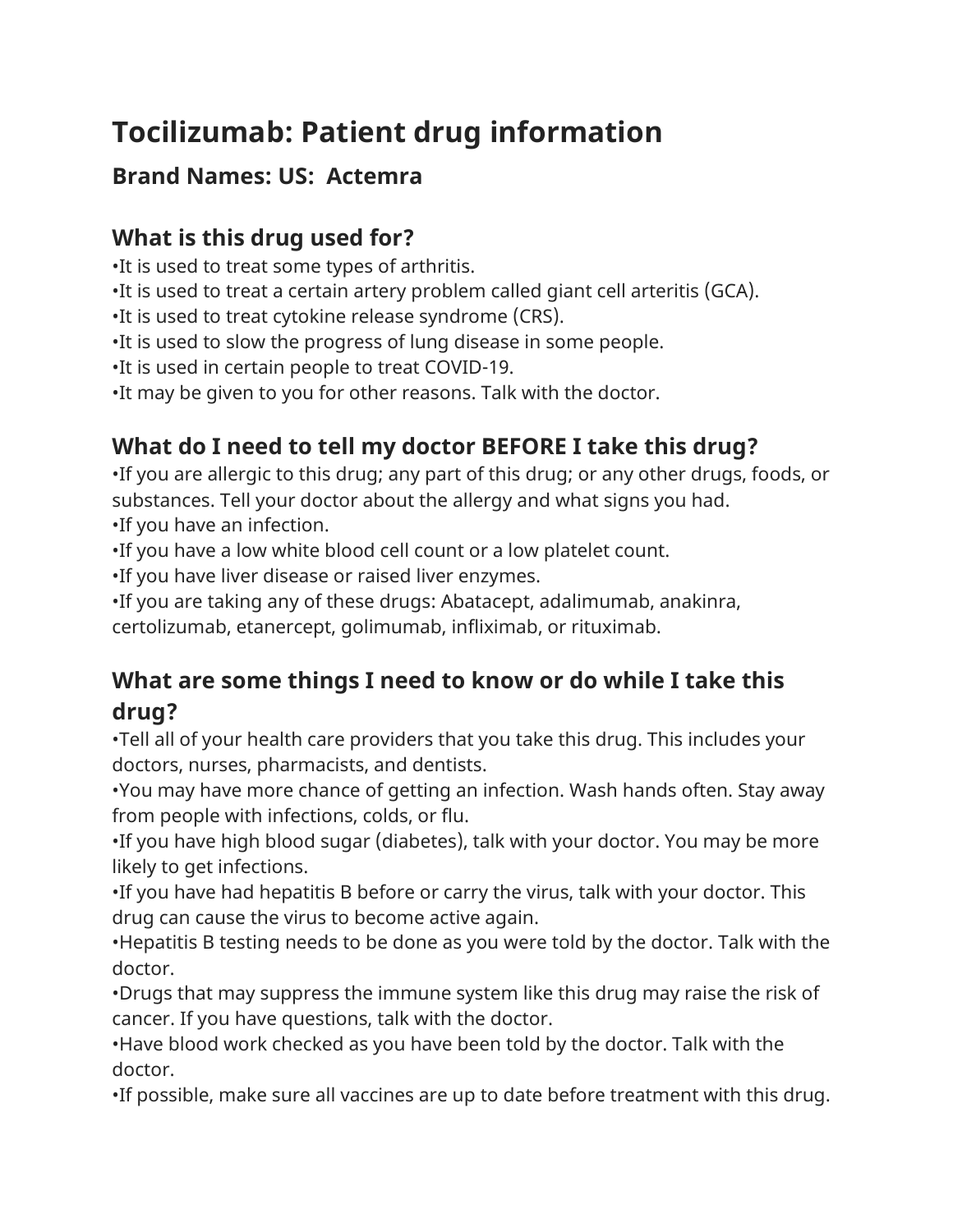# **Tocilizumab: Patient drug information**

## **Brand Names: US: Actemra**

# **What is this drug used for?**

•It is used to treat some types of arthritis.

- •It is used to treat a certain artery problem called giant cell arteritis (GCA).
- •It is used to treat cytokine release syndrome (CRS).
- •It is used to slow the progress of lung disease in some people.
- •It is used in certain people to treat COVID-19.
- •It may be given to you for other reasons. Talk with the doctor.

# **What do I need to tell my doctor BEFORE I take this drug?**

•If you are allergic to this drug; any part of this drug; or any other drugs, foods, or substances. Tell your doctor about the allergy and what signs you had.

- •If you have an infection.
- •If you have a low white blood cell count or a low platelet count.
- •If you have liver disease or raised liver enzymes.
- •If you are taking any of these drugs: Abatacept, adalimumab, anakinra,

certolizumab, etanercept, golimumab, infliximab, or rituximab.

## **What are some things I need to know or do while I take this drug?**

•Tell all of your health care providers that you take this drug. This includes your doctors, nurses, pharmacists, and dentists.

•You may have more chance of getting an infection. Wash hands often. Stay away from people with infections, colds, or flu.

•If you have high blood sugar (diabetes), talk with your doctor. You may be more likely to get infections.

•If you have had hepatitis B before or carry the virus, talk with your doctor. This drug can cause the virus to become active again.

•Hepatitis B testing needs to be done as you were told by the doctor. Talk with the doctor.

•Drugs that may suppress the immune system like this drug may raise the risk of cancer. If you have questions, talk with the doctor.

•Have blood work checked as you have been told by the doctor. Talk with the doctor.

•If possible, make sure all vaccines are up to date before treatment with this drug.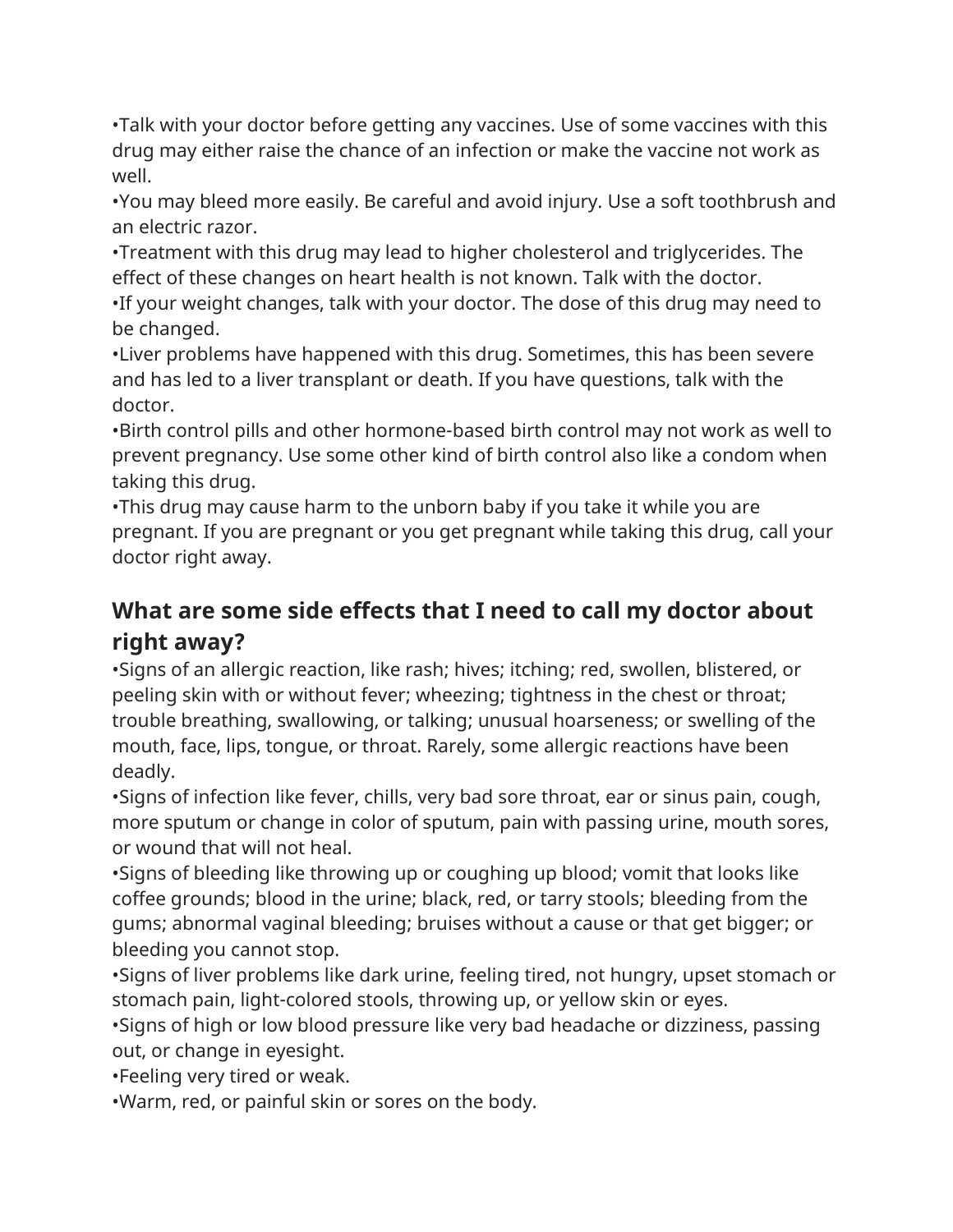•Talk with your doctor before getting any vaccines. Use of some vaccines with this drug may either raise the chance of an infection or make the vaccine not work as well.

•You may bleed more easily. Be careful and avoid injury. Use a soft toothbrush and an electric razor.

•Treatment with this drug may lead to higher cholesterol and triglycerides. The effect of these changes on heart health is not known. Talk with the doctor.

•If your weight changes, talk with your doctor. The dose of this drug may need to be changed.

•Liver problems have happened with this drug. Sometimes, this has been severe and has led to a liver transplant or death. If you have questions, talk with the doctor.

•Birth control pills and other hormone-based birth control may not work as well to prevent pregnancy. Use some other kind of birth control also like a condom when taking this drug.

•This drug may cause harm to the unborn baby if you take it while you are pregnant. If you are pregnant or you get pregnant while taking this drug, call your doctor right away.

#### **What are some side effects that I need to call my doctor about right away?**

•Signs of an allergic reaction, like rash; hives; itching; red, swollen, blistered, or peeling skin with or without fever; wheezing; tightness in the chest or throat; trouble breathing, swallowing, or talking; unusual hoarseness; or swelling of the mouth, face, lips, tongue, or throat. Rarely, some allergic reactions have been deadly.

•Signs of infection like fever, chills, very bad sore throat, ear or sinus pain, cough, more sputum or change in color of sputum, pain with passing urine, mouth sores, or wound that will not heal.

•Signs of bleeding like throwing up or coughing up blood; vomit that looks like coffee grounds; blood in the urine; black, red, or tarry stools; bleeding from the gums; abnormal vaginal bleeding; bruises without a cause or that get bigger; or bleeding you cannot stop.

•Signs of liver problems like dark urine, feeling tired, not hungry, upset stomach or stomach pain, light-colored stools, throwing up, or yellow skin or eyes.

•Signs of high or low blood pressure like very bad headache or dizziness, passing out, or change in eyesight.

•Feeling very tired or weak.

•Warm, red, or painful skin or sores on the body.